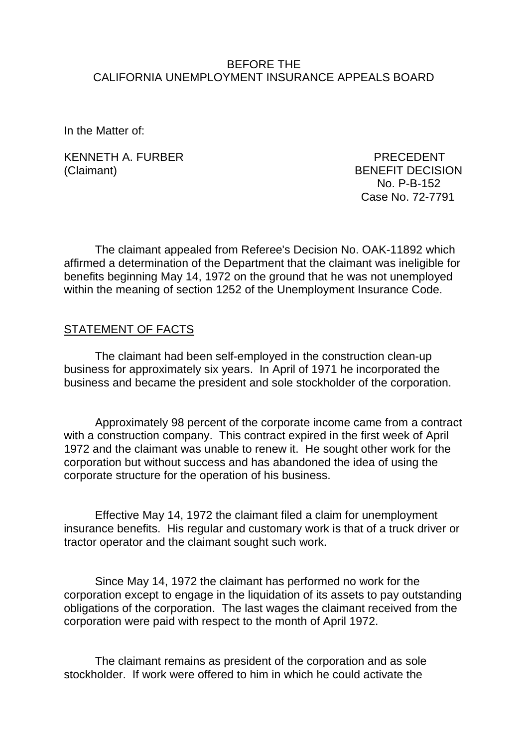### BEFORE THE CALIFORNIA UNEMPLOYMENT INSURANCE APPEALS BOARD

In the Matter of:

KENNETH A. FURBER PRECEDENT (Claimant) BENEFIT DECISION

 No. P-B-152 Case No. 72-7791

The claimant appealed from Referee's Decision No. OAK-11892 which affirmed a determination of the Department that the claimant was ineligible for benefits beginning May 14, 1972 on the ground that he was not unemployed within the meaning of section 1252 of the Unemployment Insurance Code.

## STATEMENT OF FACTS

The claimant had been self-employed in the construction clean-up business for approximately six years. In April of 1971 he incorporated the business and became the president and sole stockholder of the corporation.

Approximately 98 percent of the corporate income came from a contract with a construction company. This contract expired in the first week of April 1972 and the claimant was unable to renew it. He sought other work for the corporation but without success and has abandoned the idea of using the corporate structure for the operation of his business.

Effective May 14, 1972 the claimant filed a claim for unemployment insurance benefits. His regular and customary work is that of a truck driver or tractor operator and the claimant sought such work.

Since May 14, 1972 the claimant has performed no work for the corporation except to engage in the liquidation of its assets to pay outstanding obligations of the corporation. The last wages the claimant received from the corporation were paid with respect to the month of April 1972.

The claimant remains as president of the corporation and as sole stockholder. If work were offered to him in which he could activate the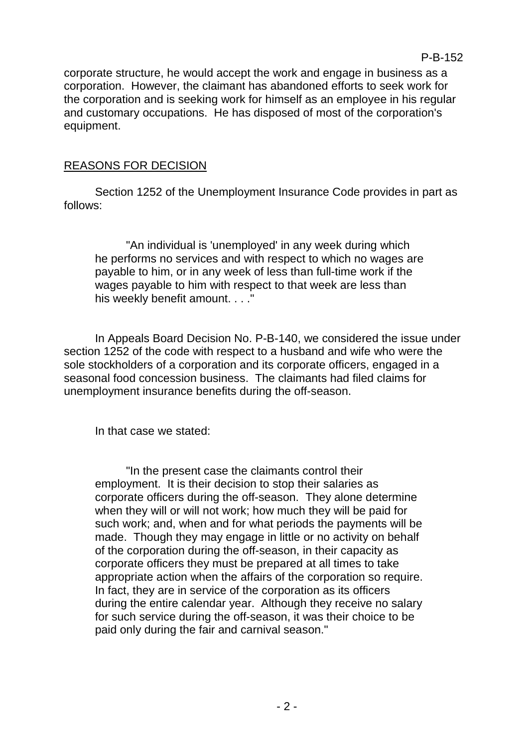corporate structure, he would accept the work and engage in business as a corporation. However, the claimant has abandoned efforts to seek work for the corporation and is seeking work for himself as an employee in his regular and customary occupations. He has disposed of most of the corporation's equipment.

## REASONS FOR DECISION

Section 1252 of the Unemployment Insurance Code provides in part as follows:

"An individual is 'unemployed' in any week during which he performs no services and with respect to which no wages are payable to him, or in any week of less than full-time work if the wages payable to him with respect to that week are less than his weekly benefit amount. . . ."

In Appeals Board Decision No. P-B-140, we considered the issue under section 1252 of the code with respect to a husband and wife who were the sole stockholders of a corporation and its corporate officers, engaged in a seasonal food concession business. The claimants had filed claims for unemployment insurance benefits during the off-season.

In that case we stated:

"In the present case the claimants control their employment. It is their decision to stop their salaries as corporate officers during the off-season. They alone determine when they will or will not work; how much they will be paid for such work; and, when and for what periods the payments will be made. Though they may engage in little or no activity on behalf of the corporation during the off-season, in their capacity as corporate officers they must be prepared at all times to take appropriate action when the affairs of the corporation so require. In fact, they are in service of the corporation as its officers during the entire calendar year. Although they receive no salary for such service during the off-season, it was their choice to be paid only during the fair and carnival season."